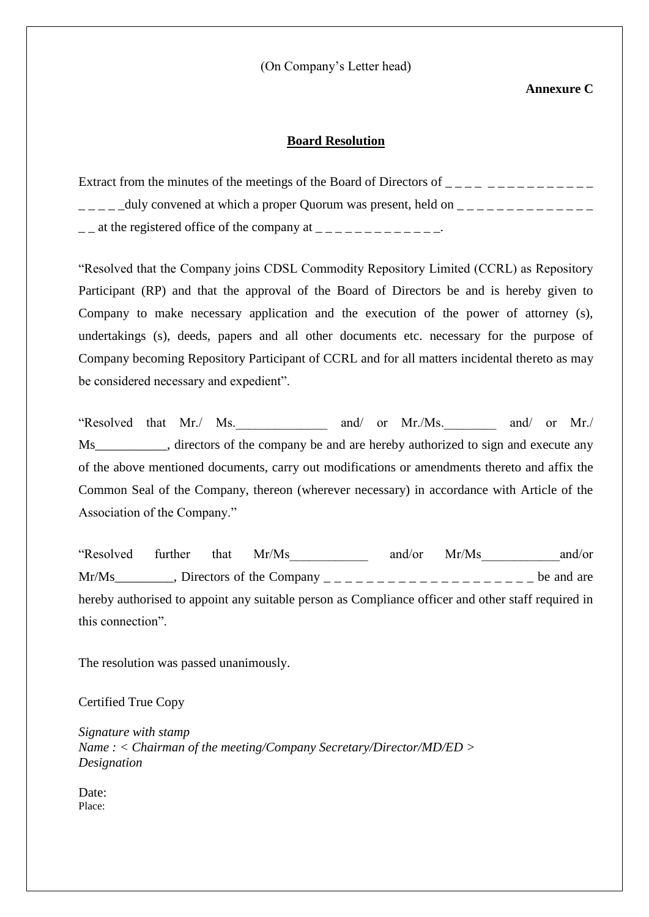(On Company's Letter head)

## **Annexure C**

## **Board Resolution**

| Extract from the minutes of the meetings of the Board of Directors of ___ |
|---------------------------------------------------------------------------|
| -duly convened at which a proper Quorum was present, held on _____        |
| $\mathcal{L}$ at the registered office of the company at                  |

"Resolved that the Company joins CDSL Commodity Repository Limited (CCRL) as Repository Participant (RP) and that the approval of the Board of Directors be and is hereby given to Company to make necessary application and the execution of the power of attorney (s), undertakings (s), deeds, papers and all other documents etc. necessary for the purpose of Company becoming Repository Participant of CCRL and for all matters incidental thereto as may be considered necessary and expedient".

"Resolved that Mr./ Ms. \_\_\_\_\_\_\_\_\_ and/ or Mr./Ms. \_\_\_\_\_\_ and/ or Mr./ Ms\_\_\_\_\_\_\_\_\_\_\_, directors of the company be and are hereby authorized to sign and execute any of the above mentioned documents, carry out modifications or amendments thereto and affix the Common Seal of the Company, thereon (wherever necessary) in accordance with Article of the Association of the Company."

"Resolved further that Mr/Ms\_\_\_\_\_\_\_\_\_\_\_\_ and/or Mr/Ms\_\_\_\_\_\_\_\_\_\_\_\_and/or  $Mr/Ms$ <sub>\_\_\_\_\_\_\_\_</sub>, Directors of the Company  $\frac{1}{2}$  \_\_\_\_\_\_\_\_\_\_\_\_\_\_\_\_\_\_\_\_\_\_\_\_\_ be and are hereby authorised to appoint any suitable person as Compliance officer and other staff required in this connection".

The resolution was passed unanimously.

Certified True Copy

*Signature with stamp Name : < Chairman of the meeting/Company Secretary/Director/MD/ED > Designation*

Date: Place: